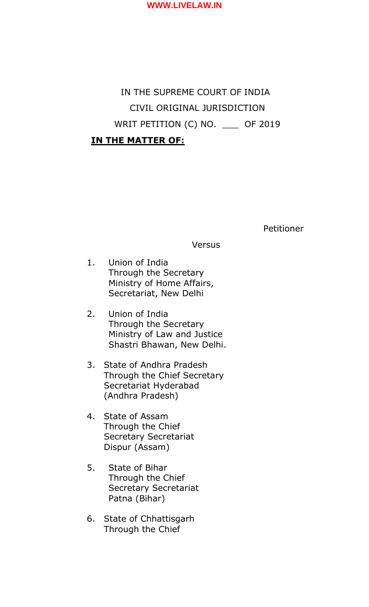

# IN THE SUPREME COURT OF INDIA CIVIL ORIGINAL JURISDICTION WRIT PETITION (C) NO. \_\_\_ OF 2019

# **IN THE MATTER OF:**

Petitioner

**Versus** 

- 1. Union of India Through the Secretary Ministry of Home Affairs, Secretariat, New Delhi
- 2. Union of India Through the Secretary Ministry of Law and Justice Shastri Bhawan, New Delhi.
- 3. State of Andhra Pradesh Through the Chief Secretary Secretariat Hyderabad (Andhra Pradesh)
- 4. State of Assam Through the Chief Secretary Secretariat Dispur (Assam)
- 5. State of Bihar Through the Chief Secretary Secretariat Patna (Bihar)
- 6. State of Chhattisgarh Through the Chief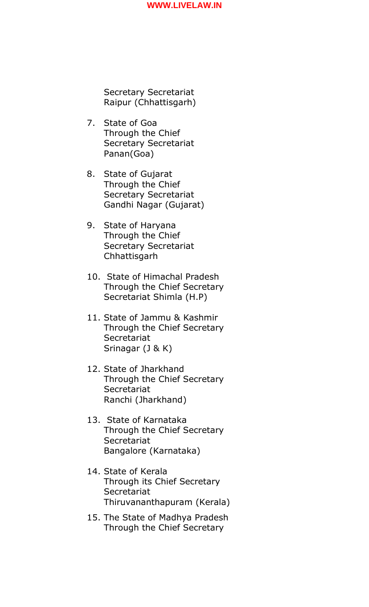Secretary Secretariat Raipur (Chhattisgarh)

- 7. State of Goa Through the Chief Secretary Secretariat Panan(Goa)
- 8. State of Gujarat Through the Chief Secretary Secretariat Gandhi Nagar (Gujarat)
- 9. State of Haryana Through the Chief Secretary Secretariat Chhattisgarh
- 10. State of Himachal Pradesh Through the Chief Secretary Secretariat Shimla (H.P)
- 11. State of Jammu & Kashmir Through the Chief Secretary **Secretariat** Srinagar (J & K)
- 12. State of Jharkhand Through the Chief Secretary **Secretariat** Ranchi (Jharkhand)
- 13. State of Karnataka Through the Chief Secretary **Secretariat** Bangalore (Karnataka)
- 14. State of Kerala Through its Chief Secretary **Secretariat** Thiruvananthapuram (Kerala)
- 15. The State of Madhya Pradesh Through the Chief Secretary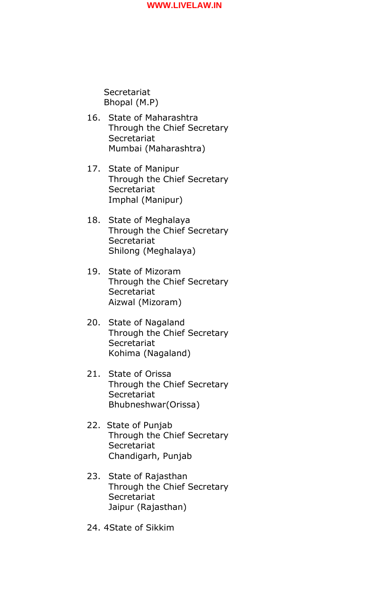**Secretariat** Bhopal (M.P)

- 16. State of Maharashtra Through the Chief Secretary **Secretariat** Mumbai (Maharashtra)
- 17. State of Manipur Through the Chief Secretary **Secretariat** Imphal (Manipur)
- 18. State of Meghalaya Through the Chief Secretary **Secretariat** Shilong (Meghalaya)
- 19. State of Mizoram Through the Chief Secretary **Secretariat** Aizwal (Mizoram)
- 20. State of Nagaland Through the Chief Secretary **Secretariat** Kohima (Nagaland)
- 21. State of Orissa Through the Chief Secretary **Secretariat** Bhubneshwar(Orissa)
- 22. State of Punjab Through the Chief Secretary **Secretariat** Chandigarh, Punjab
- 23. State of Rajasthan Through the Chief Secretary **Secretariat** Jaipur (Rajasthan)
- 24. 4State of Sikkim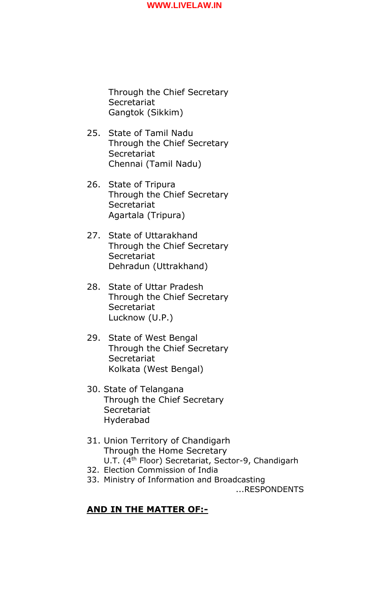Through the Chief Secretary **Secretariat** Gangtok (Sikkim)

- 25. State of Tamil Nadu Through the Chief Secretary **Secretariat** Chennai (Tamil Nadu)
- 26. State of Tripura Through the Chief Secretary **Secretariat** Agartala (Tripura)
- 27. State of Uttarakhand Through the Chief Secretary **Secretariat** Dehradun (Uttrakhand)
- 28. State of Uttar Pradesh Through the Chief Secretary **Secretariat** Lucknow (U.P.)
- 29. State of West Bengal Through the Chief Secretary **Secretariat** Kolkata (West Bengal)
- 30. State of Telangana Through the Chief Secretary **Secretariat** Hyderabad
- 31. Union Territory of Chandigarh Through the Home Secretary U.T. (4<sup>th</sup> Floor) Secretariat, Sector-9, Chandigarh
- 32. Election Commission of India
- 33. Ministry of Information and Broadcasting ...RESPONDENTS

# **AND IN THE MATTER OF:-**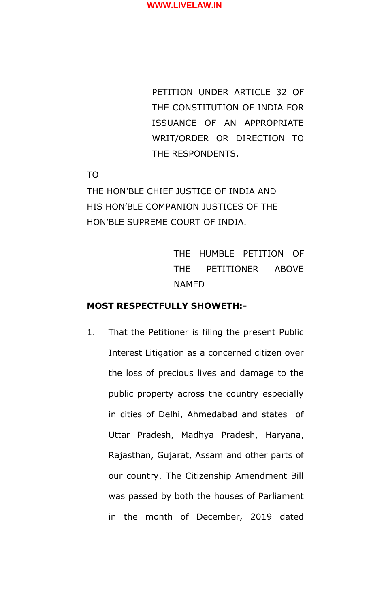PETITION UNDER ARTICLE 32 OF THE CONSTITUTION OF INDIA FOR ISSUANCE OF AN APPROPRIATE WRIT/ORDER OR DIRECTION TO THE RESPONDENTS.

TO

THE HON'BLE CHIEF JUSTICE OF INDIA AND HIS HON'BLE COMPANION JUSTICES OF THE HON'BLE SUPREME COURT OF INDIA.

> THE HUMBLE PETITION OF THE PETITIONER ABOVE NAMED

# **MOST RESPECTFULLY SHOWETH:-**

1. That the Petitioner is filing the present Public Interest Litigation as a concerned citizen over the loss of precious lives and damage to the public property across the country especially in cities of Delhi, Ahmedabad and states of Uttar Pradesh, Madhya Pradesh, Haryana, Rajasthan, Gujarat, Assam and other parts of our country. The Citizenship Amendment Bill was passed by both the houses of Parliament in the month of December, 2019 dated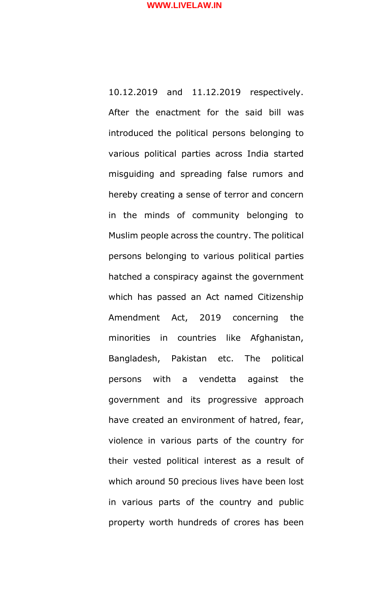10.12.2019 and 11.12.2019 respectively. After the enactment for the said bill was introduced the political persons belonging to various political parties across India started misguiding and spreading false rumors and hereby creating a sense of terror and concern in the minds of community belonging to Muslim people across the country. The political persons belonging to various political parties hatched a conspiracy against the government which has passed an Act named Citizenship Amendment Act, 2019 concerning the minorities in countries like Afghanistan, Bangladesh, Pakistan etc. The political persons with a vendetta against the government and its progressive approach have created an environment of hatred, fear, violence in various parts of the country for their vested political interest as a result of which around 50 precious lives have been lost in various parts of the country and public property worth hundreds of crores has been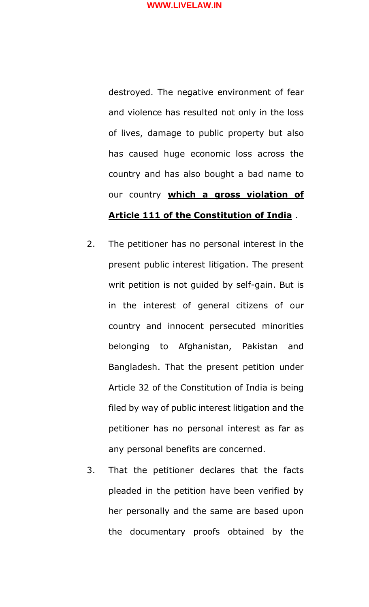destroyed. The negative environment of fear and violence has resulted not only in the loss of lives, damage to public property but also has caused huge economic loss across the country and has also bought a bad name to our country **which a gross violation of Article 111 of the Constitution of India** .

- 2. The petitioner has no personal interest in the present public interest litigation. The present writ petition is not guided by self-gain. But is in the interest of general citizens of our country and innocent persecuted minorities belonging to Afghanistan, Pakistan and Bangladesh. That the present petition under Article 32 of the Constitution of India is being filed by way of public interest litigation and the petitioner has no personal interest as far as any personal benefits are concerned.
- 3. That the petitioner declares that the facts pleaded in the petition have been verified by her personally and the same are based upon the documentary proofs obtained by the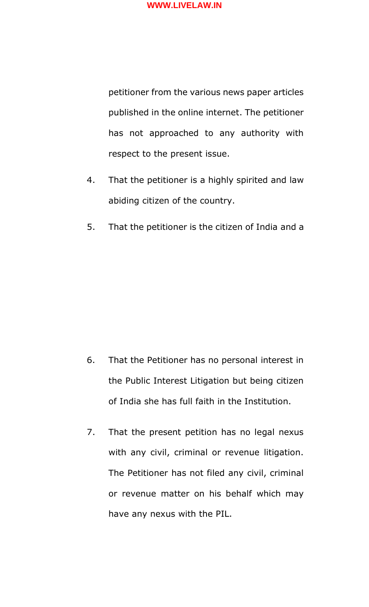

petitioner from the various news paper articles published in the online internet. The petitioner has not approached to any authority with respect to the present issue.

- 4. That the petitioner is a highly spirited and law abiding citizen of the country.
- 5. That the petitioner is the citizen of India and a

- 6. That the Petitioner has no personal interest in the Public Interest Litigation but being citizen of India she has full faith in the Institution.
- 7. That the present petition has no legal nexus with any civil, criminal or revenue litigation. The Petitioner has not filed any civil, criminal or revenue matter on his behalf which may have any nexus with the PIL.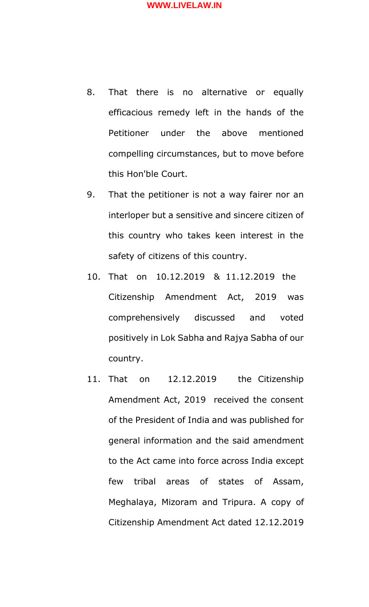- 8. That there is no alternative or equally efficacious remedy left in the hands of the Petitioner under the above mentioned compelling circumstances, but to move before this Hon'ble Court.
- 9. That the petitioner is not a way fairer nor an interloper but a sensitive and sincere citizen of this country who takes keen interest in the safety of citizens of this country.
- 10. That on 10.12.2019 & 11.12.2019 the Citizenship Amendment Act, 2019 was comprehensively discussed and voted positively in Lok Sabha and Rajya Sabha of our country.
- 11. That on 12.12.2019 the Citizenship Amendment Act, 2019 received the consent of the President of India and was published for general information and the said amendment to the Act came into force across India except few tribal areas of states of Assam, Meghalaya, Mizoram and Tripura. A copy of Citizenship Amendment Act dated 12.12.2019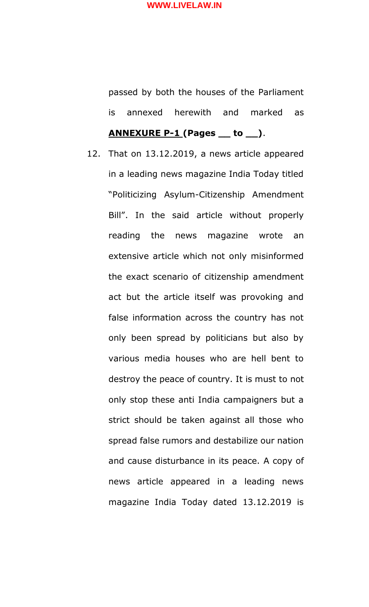passed by both the houses of the Parliament is annexed herewith and marked as

# **ANNEXURE P-1 (Pages \_\_ to \_\_)**.

12. That on 13.12.2019, a news article appeared in a leading news magazine India Today titled "Politicizing Asylum-Citizenship Amendment Bill". In the said article without properly reading the news magazine wrote an extensive article which not only misinformed the exact scenario of citizenship amendment act but the article itself was provoking and false information across the country has not only been spread by politicians but also by various media houses who are hell bent to destroy the peace of country. It is must to not only stop these anti India campaigners but a strict should be taken against all those who spread false rumors and destabilize our nation and cause disturbance in its peace. A copy of news article appeared in a leading news magazine India Today dated 13.12.2019 is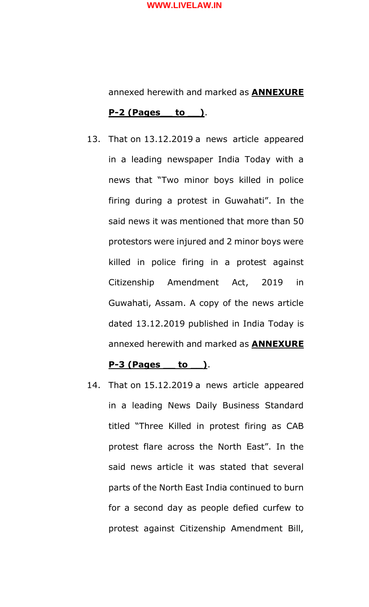annexed herewith and marked as **ANNEXURE P-2 (Pages\_\_ to \_\_)**.

13. That on 13.12.2019 a news article appeared in a leading newspaper India Today with a news that "Two minor boys killed in police firing during a protest in Guwahati". In the said news it was mentioned that more than 50 protestors were injured and 2 minor boys were killed in police firing in a protest against Citizenship Amendment Act, 2019 in Guwahati, Assam. A copy of the news article dated 13.12.2019 published in India Today is annexed herewith and marked as **ANNEXURE** 

#### **P-3 (Pages \_\_ to \_\_)**.

14. That on 15.12.2019 a news article appeared in a leading News Daily Business Standard titled "Three Killed in protest firing as CAB protest flare across the North East". In the said news article it was stated that several parts of the North East India continued to burn for a second day as people defied curfew to protest against Citizenship Amendment Bill,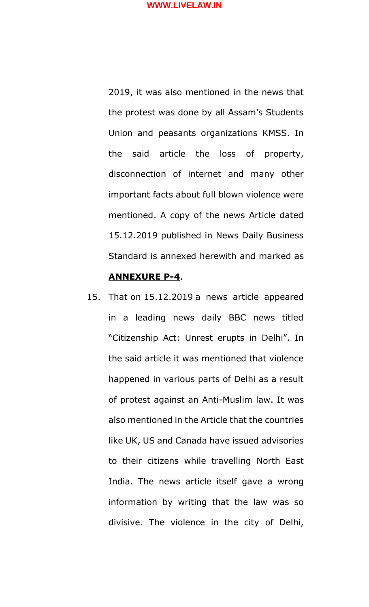2019, it was also mentioned in the news that the protest was done by all Assam's Students Union and peasants organizations KMSS. In the said article the loss of property, disconnection of internet and many other important facts about full blown violence were mentioned. A copy of the news Article dated 15.12.2019 published in News Daily Business Standard is annexed herewith and marked as

# **ANNEXURE P-4**.

15. That on 15.12.2019 a news article appeared in a leading news daily BBC news titled "Citizenship Act: Unrest erupts in Delhi". In the said article it was mentioned that violence happened in various parts of Delhi as a result of protest against an Anti-Muslim law. It was also mentioned in the Article that the countries like UK, US and Canada have issued advisories to their citizens while travelling North East India. The news article itself gave a wrong information by writing that the law was so divisive. The violence in the city of Delhi,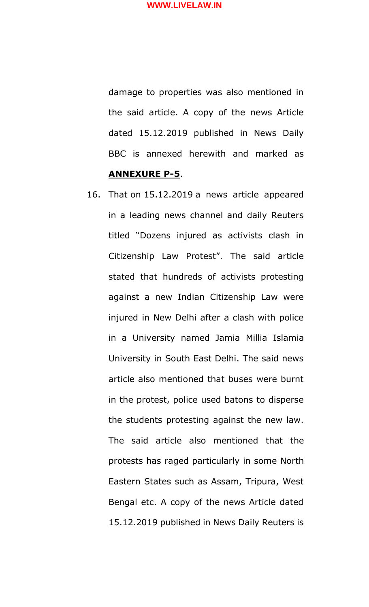damage to properties was also mentioned in the said article. A copy of the news Article dated 15.12.2019 published in News Daily BBC is annexed herewith and marked as **ANNEXURE P-5**.

16. That on 15.12.2019 a news article appeared in a leading news channel and daily Reuters titled "Dozens injured as activists clash in Citizenship Law Protest". The said article stated that hundreds of activists protesting against a new Indian Citizenship Law were injured in New Delhi after a clash with police in a University named Jamia Millia Islamia University in South East Delhi. The said news article also mentioned that buses were burnt in the protest, police used batons to disperse the students protesting against the new law. The said article also mentioned that the protests has raged particularly in some North Eastern States such as Assam, Tripura, West Bengal etc. A copy of the news Article dated 15.12.2019 published in News Daily Reuters is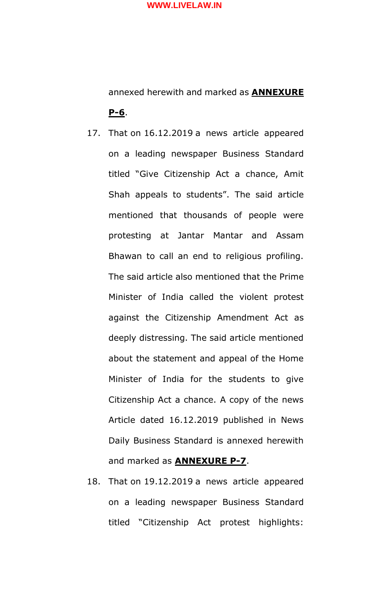annexed herewith and marked as **ANNEXURE P-6**.

- 17. That on 16.12.2019 a news article appeared on a leading newspaper Business Standard titled "Give Citizenship Act a chance, Amit Shah appeals to students". The said article mentioned that thousands of people were protesting at Jantar Mantar and Assam Bhawan to call an end to religious profiling. The said article also mentioned that the Prime Minister of India called the violent protest against the Citizenship Amendment Act as deeply distressing. The said article mentioned about the statement and appeal of the Home Minister of India for the students to give Citizenship Act a chance. A copy of the news Article dated 16.12.2019 published in News Daily Business Standard is annexed herewith and marked as **ANNEXURE P-7**.
- 18. That on 19.12.2019 a news article appeared on a leading newspaper Business Standard titled "Citizenship Act protest highlights: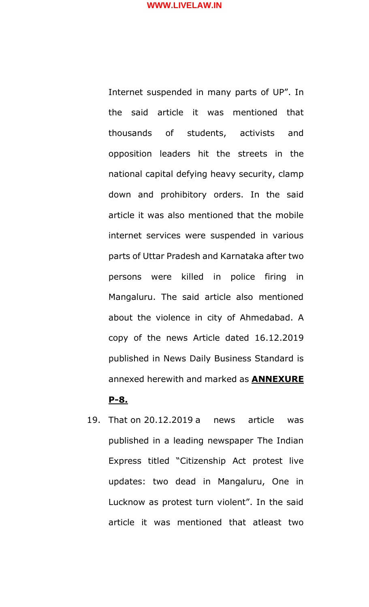Internet suspended in many parts of UP". In the said article it was mentioned that thousands of students, activists and opposition leaders hit the streets in the national capital defying heavy security, clamp down and prohibitory orders. In the said article it was also mentioned that the mobile internet services were suspended in various parts of Uttar Pradesh and Karnataka after two persons were killed in police firing in Mangaluru. The said article also mentioned about the violence in city of Ahmedabad. A copy of the news Article dated 16.12.2019 published in News Daily Business Standard is annexed herewith and marked as **ANNEXURE** 

#### **P-8.**

19. That on 20.12.2019 a news article was published in a leading newspaper The Indian Express titled "Citizenship Act protest live updates: two dead in Mangaluru, One in Lucknow as protest turn violent". In the said article it was mentioned that atleast two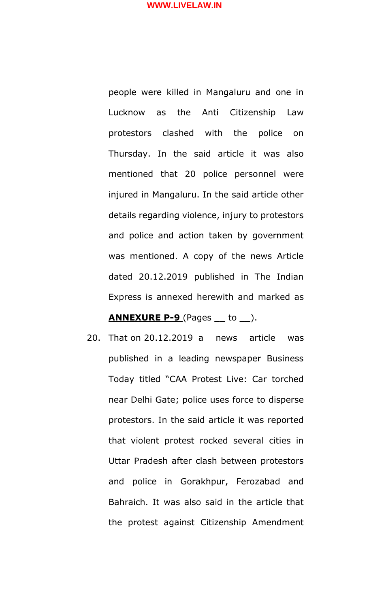people were killed in Mangaluru and one in Lucknow as the Anti Citizenship Law protestors clashed with the police on Thursday. In the said article it was also mentioned that 20 police personnel were injured in Mangaluru. In the said article other details regarding violence, injury to protestors and police and action taken by government was mentioned. A copy of the news Article dated 20.12.2019 published in The Indian Express is annexed herewith and marked as

# **ANNEXURE P-9** (Pages \_\_ to \_\_).

20. That on 20.12.2019 a news article was published in a leading newspaper Business Today titled "CAA Protest Live: Car torched near Delhi Gate; police uses force to disperse protestors. In the said article it was reported that violent protest rocked several cities in Uttar Pradesh after clash between protestors and police in Gorakhpur, Ferozabad and Bahraich. It was also said in the article that the protest against Citizenship Amendment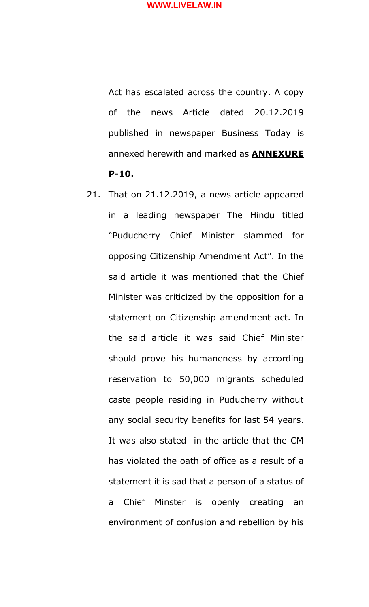Act has escalated across the country. A copy of the news Article dated 20.12.2019 published in newspaper Business Today is annexed herewith and marked as **ANNEXURE P-10.** 

21. That on 21.12.2019, a news article appeared in a leading newspaper The Hindu titled "Puducherry Chief Minister slammed for opposing Citizenship Amendment Act". In the said article it was mentioned that the Chief Minister was criticized by the opposition for a statement on Citizenship amendment act. In the said article it was said Chief Minister should prove his humaneness by according reservation to 50,000 migrants scheduled caste people residing in Puducherry without any social security benefits for last 54 years. It was also stated in the article that the CM has violated the oath of office as a result of a statement it is sad that a person of a status of a Chief Minster is openly creating an environment of confusion and rebellion by his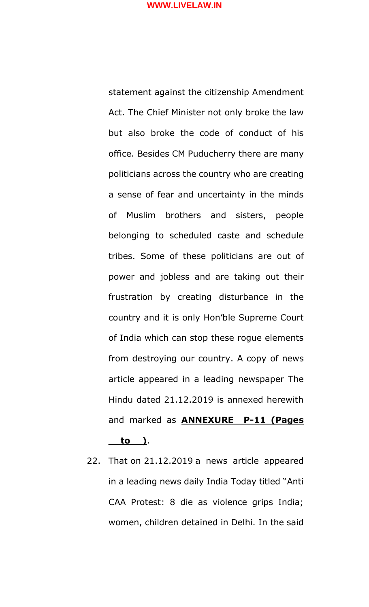statement against the citizenship Amendment Act. The Chief Minister not only broke the law but also broke the code of conduct of his office. Besides CM Puducherry there are many politicians across the country who are creating a sense of fear and uncertainty in the minds of Muslim brothers and sisters, people belonging to scheduled caste and schedule tribes. Some of these politicians are out of power and jobless and are taking out their frustration by creating disturbance in the country and it is only Hon'ble Supreme Court of India which can stop these rogue elements from destroying our country. A copy of news article appeared in a leading newspaper The Hindu dated 21.12.2019 is annexed herewith and marked as **ANNEXURE P-11 (Pages \_\_to\_\_)**.

22. That on 21.12.2019 a news article appeared in a leading news daily India Today titled "Anti CAA Protest: 8 die as violence grips India; women, children detained in Delhi. In the said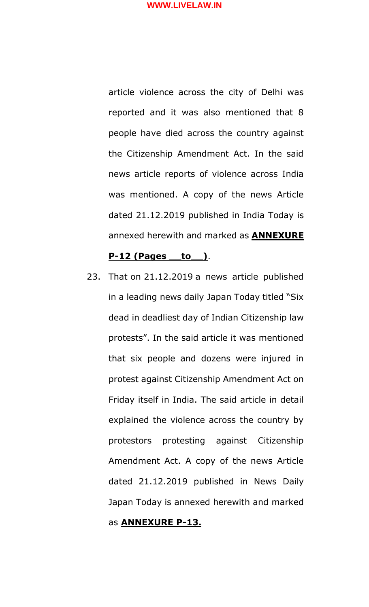article violence across the city of Delhi was reported and it was also mentioned that 8 people have died across the country against the Citizenship Amendment Act. In the said news article reports of violence across India was mentioned. A copy of the news Article dated 21.12.2019 published in India Today is annexed herewith and marked as **ANNEXURE** 

## **P-12 (Pages \_\_to\_\_)**.

23. That on 21.12.2019 a news article published in a leading news daily Japan Today titled "Six dead in deadliest day of Indian Citizenship law protests". In the said article it was mentioned that six people and dozens were injured in protest against Citizenship Amendment Act on Friday itself in India. The said article in detail explained the violence across the country by protestors protesting against Citizenship Amendment Act. A copy of the news Article dated 21.12.2019 published in News Daily Japan Today is annexed herewith and marked

## as **ANNEXURE P-13.**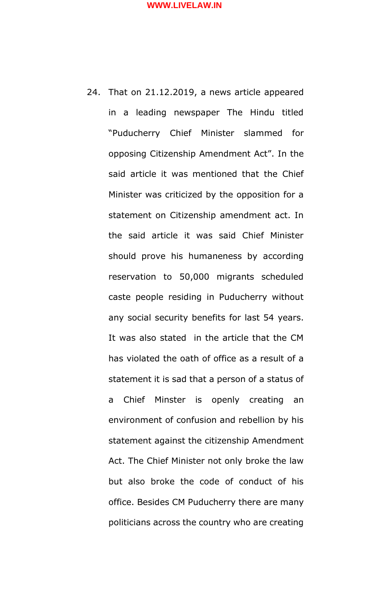24. That on 21.12.2019, a news article appeared in a leading newspaper The Hindu titled "Puducherry Chief Minister slammed for opposing Citizenship Amendment Act". In the said article it was mentioned that the Chief Minister was criticized by the opposition for a statement on Citizenship amendment act. In the said article it was said Chief Minister should prove his humaneness by according reservation to 50,000 migrants scheduled caste people residing in Puducherry without any social security benefits for last 54 years. It was also stated in the article that the CM has violated the oath of office as a result of a statement it is sad that a person of a status of a Chief Minster is openly creating an environment of confusion and rebellion by his statement against the citizenship Amendment Act. The Chief Minister not only broke the law but also broke the code of conduct of his office. Besides CM Puducherry there are many politicians across the country who are creating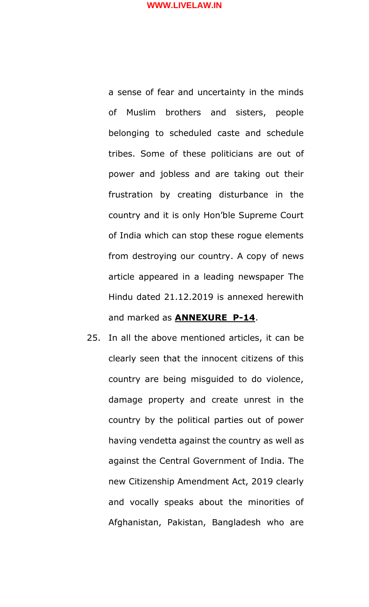a sense of fear and uncertainty in the minds of Muslim brothers and sisters, people belonging to scheduled caste and schedule tribes. Some of these politicians are out of power and jobless and are taking out their frustration by creating disturbance in the country and it is only Hon'ble Supreme Court of India which can stop these rogue elements from destroying our country. A copy of news article appeared in a leading newspaper The Hindu dated 21.12.2019 is annexed herewith and marked as **ANNEXURE P-14**.

25. In all the above mentioned articles, it can be clearly seen that the innocent citizens of this country are being misguided to do violence, damage property and create unrest in the country by the political parties out of power having vendetta against the country as well as against the Central Government of India. The new Citizenship Amendment Act, 2019 clearly and vocally speaks about the minorities of Afghanistan, Pakistan, Bangladesh who are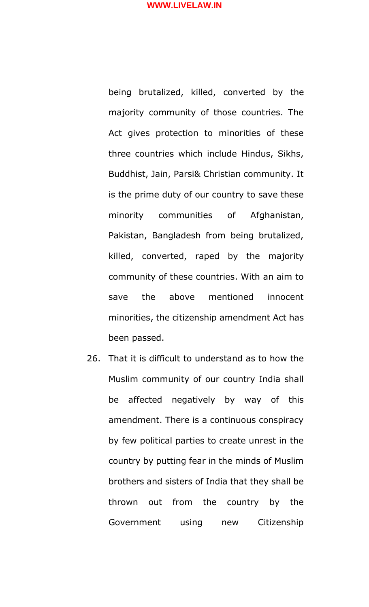being brutalized, killed, converted by the majority community of those countries. The Act gives protection to minorities of these three countries which include Hindus, Sikhs, Buddhist, Jain, Parsi& Christian community. It is the prime duty of our country to save these minority communities of Afghanistan, Pakistan, Bangladesh from being brutalized, killed, converted, raped by the majority community of these countries. With an aim to save the above mentioned innocent minorities, the citizenship amendment Act has been passed.

26. That it is difficult to understand as to how the Muslim community of our country India shall be affected negatively by way of this amendment. There is a continuous conspiracy by few political parties to create unrest in the country by putting fear in the minds of Muslim brothers and sisters of India that they shall be thrown out from the country by the Government using new Citizenship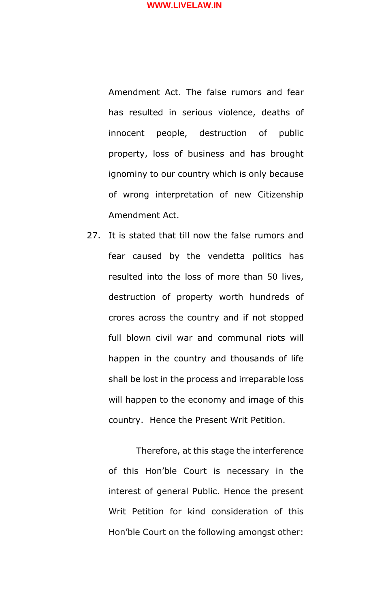Amendment Act. The false rumors and fear has resulted in serious violence, deaths of innocent people, destruction of public property, loss of business and has brought ignominy to our country which is only because of wrong interpretation of new Citizenship Amendment Act.

27. It is stated that till now the false rumors and fear caused by the vendetta politics has resulted into the loss of more than 50 lives, destruction of property worth hundreds of crores across the country and if not stopped full blown civil war and communal riots will happen in the country and thousands of life shall be lost in the process and irreparable loss will happen to the economy and image of this country. Hence the Present Writ Petition.

Therefore, at this stage the interference of this Hon'ble Court is necessary in the interest of general Public. Hence the present Writ Petition for kind consideration of this Hon'ble Court on the following amongst other: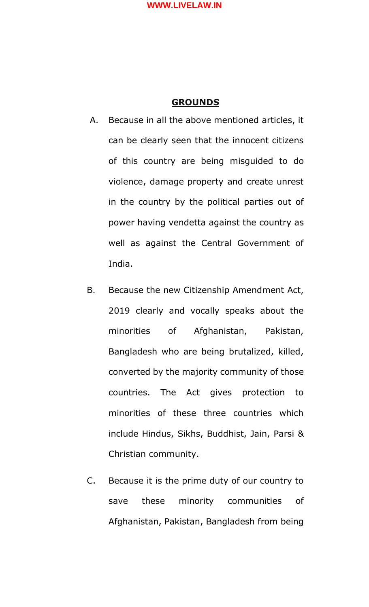## **GROUNDS**

- A. Because in all the above mentioned articles, it can be clearly seen that the innocent citizens of this country are being misguided to do violence, damage property and create unrest in the country by the political parties out of power having vendetta against the country as well as against the Central Government of India.
- B. Because the new Citizenship Amendment Act, 2019 clearly and vocally speaks about the minorities of Afghanistan, Pakistan, Bangladesh who are being brutalized, killed, converted by the majority community of those countries. The Act gives protection to minorities of these three countries which include Hindus, Sikhs, Buddhist, Jain, Parsi & Christian community.
- C. Because it is the prime duty of our country to save these minority communities of Afghanistan, Pakistan, Bangladesh from being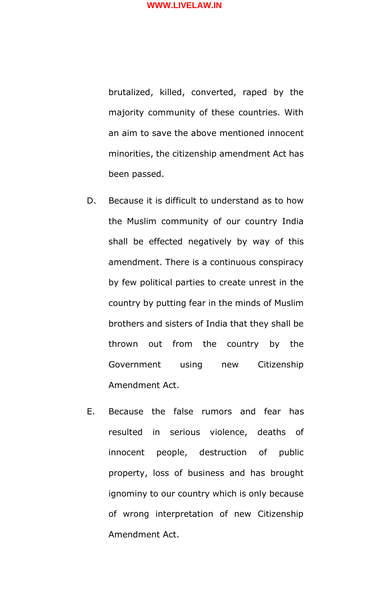brutalized, killed, converted, raped by the majority community of these countries. With an aim to save the above mentioned innocent minorities, the citizenship amendment Act has been passed.

- D. Because it is difficult to understand as to how the Muslim community of our country India shall be effected negatively by way of this amendment. There is a continuous conspiracy by few political parties to create unrest in the country by putting fear in the minds of Muslim brothers and sisters of India that they shall be thrown out from the country by the Government using new Citizenship Amendment Act.
- E. Because the false rumors and fear has resulted in serious violence, deaths of innocent people, destruction of public property, loss of business and has brought ignominy to our country which is only because of wrong interpretation of new Citizenship Amendment Act.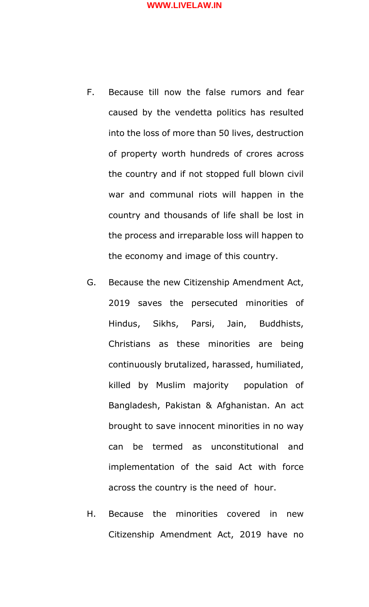- F. Because till now the false rumors and fear caused by the vendetta politics has resulted into the loss of more than 50 lives, destruction of property worth hundreds of crores across the country and if not stopped full blown civil war and communal riots will happen in the country and thousands of life shall be lost in the process and irreparable loss will happen to the economy and image of this country.
- G. Because the new Citizenship Amendment Act, 2019 saves the persecuted minorities of Hindus, Sikhs, Parsi, Jain, Buddhists, Christians as these minorities are being continuously brutalized, harassed, humiliated, killed by Muslim majority population of Bangladesh, Pakistan & Afghanistan. An act brought to save innocent minorities in no way can be termed as unconstitutional and implementation of the said Act with force across the country is the need of hour.
- H. Because the minorities covered in new Citizenship Amendment Act, 2019 have no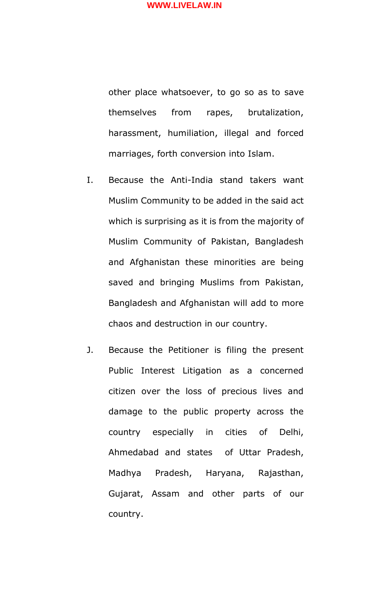other place whatsoever, to go so as to save themselves from rapes, brutalization, harassment, humiliation, illegal and forced marriages, forth conversion into Islam.

- I. Because the Anti-India stand takers want Muslim Community to be added in the said act which is surprising as it is from the majority of Muslim Community of Pakistan, Bangladesh and Afghanistan these minorities are being saved and bringing Muslims from Pakistan, Bangladesh and Afghanistan will add to more chaos and destruction in our country.
- J. Because the Petitioner is filing the present Public Interest Litigation as a concerned citizen over the loss of precious lives and damage to the public property across the country especially in cities of Delhi, Ahmedabad and states of Uttar Pradesh, Madhya Pradesh, Haryana, Rajasthan, Gujarat, Assam and other parts of our country.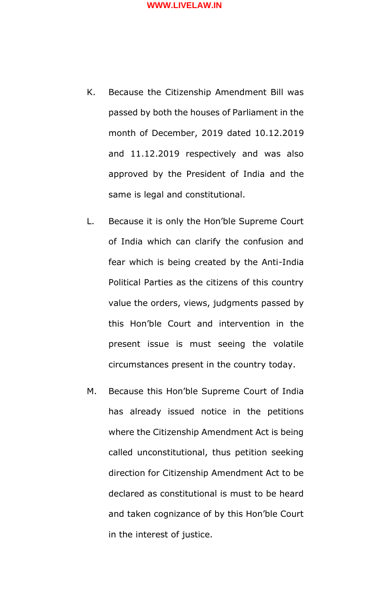- K. Because the Citizenship Amendment Bill was passed by both the houses of Parliament in the month of December, 2019 dated 10.12.2019 and 11.12.2019 respectively and was also approved by the President of India and the same is legal and constitutional.
- L. Because it is only the Hon'ble Supreme Court of India which can clarify the confusion and fear which is being created by the Anti-India Political Parties as the citizens of this country value the orders, views, judgments passed by this Hon'ble Court and intervention in the present issue is must seeing the volatile circumstances present in the country today.
- M. Because this Hon'ble Supreme Court of India has already issued notice in the petitions where the Citizenship Amendment Act is being called unconstitutional, thus petition seeking direction for Citizenship Amendment Act to be declared as constitutional is must to be heard and taken cognizance of by this Hon'ble Court in the interest of justice.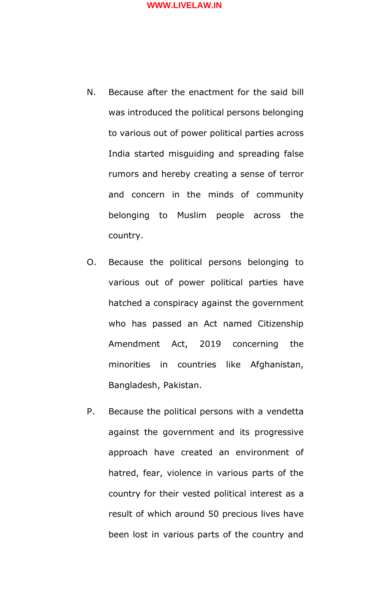- N. Because after the enactment for the said bill was introduced the political persons belonging to various out of power political parties across India started misguiding and spreading false rumors and hereby creating a sense of terror and concern in the minds of community belonging to Muslim people across the country.
- O. Because the political persons belonging to various out of power political parties have hatched a conspiracy against the government who has passed an Act named Citizenship Amendment Act, 2019 concerning the minorities in countries like Afghanistan, Bangladesh, Pakistan.
- P. Because the political persons with a vendetta against the government and its progressive approach have created an environment of hatred, fear, violence in various parts of the country for their vested political interest as a result of which around 50 precious lives have been lost in various parts of the country and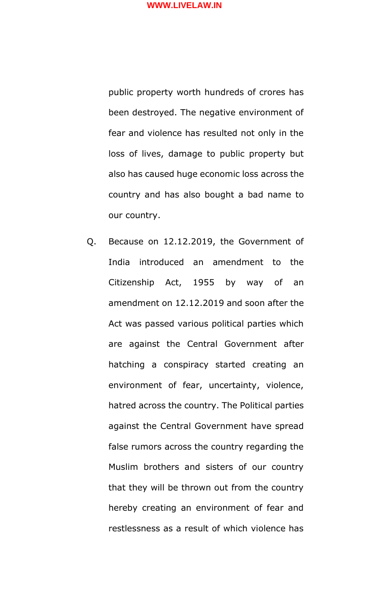public property worth hundreds of crores has been destroyed. The negative environment of fear and violence has resulted not only in the loss of lives, damage to public property but also has caused huge economic loss across the country and has also bought a bad name to our country.

Q. Because on 12.12.2019, the Government of India introduced an amendment to the Citizenship Act, 1955 by way of an amendment on 12.12.2019 and soon after the Act was passed various political parties which are against the Central Government after hatching a conspiracy started creating an environment of fear, uncertainty, violence, hatred across the country. The Political parties against the Central Government have spread false rumors across the country regarding the Muslim brothers and sisters of our country that they will be thrown out from the country hereby creating an environment of fear and restlessness as a result of which violence has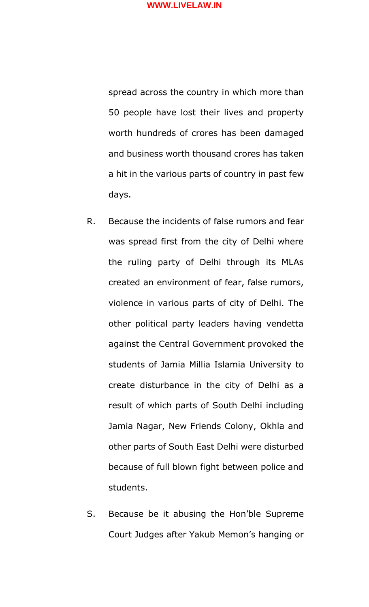spread across the country in which more than 50 people have lost their lives and property worth hundreds of crores has been damaged and business worth thousand crores has taken a hit in the various parts of country in past few days.

- R. Because the incidents of false rumors and fear was spread first from the city of Delhi where the ruling party of Delhi through its MLAs created an environment of fear, false rumors, violence in various parts of city of Delhi. The other political party leaders having vendetta against the Central Government provoked the students of Jamia Millia Islamia University to create disturbance in the city of Delhi as a result of which parts of South Delhi including Jamia Nagar, New Friends Colony, Okhla and other parts of South East Delhi were disturbed because of full blown fight between police and students.
- S. Because be it abusing the Hon'ble Supreme Court Judges after Yakub Memon's hanging or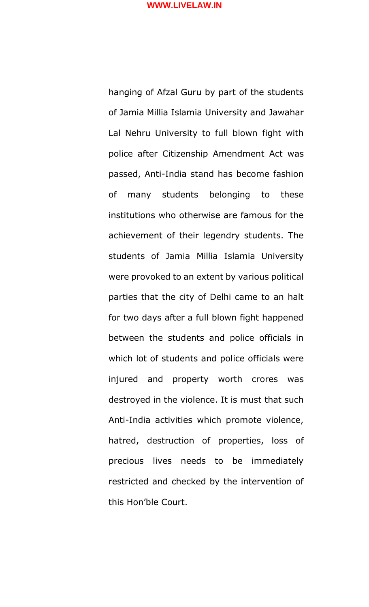hanging of Afzal Guru by part of the students of Jamia Millia Islamia University and Jawahar Lal Nehru University to full blown fight with police after Citizenship Amendment Act was passed, Anti-India stand has become fashion of many students belonging to these institutions who otherwise are famous for the achievement of their legendry students. The students of Jamia Millia Islamia University were provoked to an extent by various political parties that the city of Delhi came to an halt for two days after a full blown fight happened between the students and police officials in which lot of students and police officials were injured and property worth crores was destroyed in the violence. It is must that such Anti-India activities which promote violence, hatred, destruction of properties, loss of precious lives needs to be immediately restricted and checked by the intervention of this Hon'ble Court.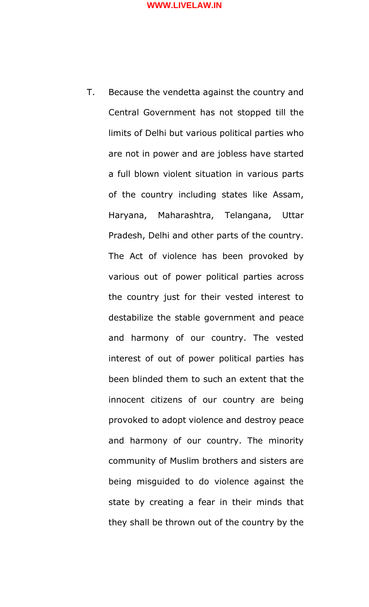T. Because the vendetta against the country and Central Government has not stopped till the limits of Delhi but various political parties who are not in power and are jobless have started a full blown violent situation in various parts of the country including states like Assam, Haryana, Maharashtra, Telangana, Uttar Pradesh, Delhi and other parts of the country. The Act of violence has been provoked by various out of power political parties across the country just for their vested interest to destabilize the stable government and peace and harmony of our country. The vested interest of out of power political parties has been blinded them to such an extent that the innocent citizens of our country are being provoked to adopt violence and destroy peace and harmony of our country. The minority community of Muslim brothers and sisters are being misguided to do violence against the state by creating a fear in their minds that they shall be thrown out of the country by the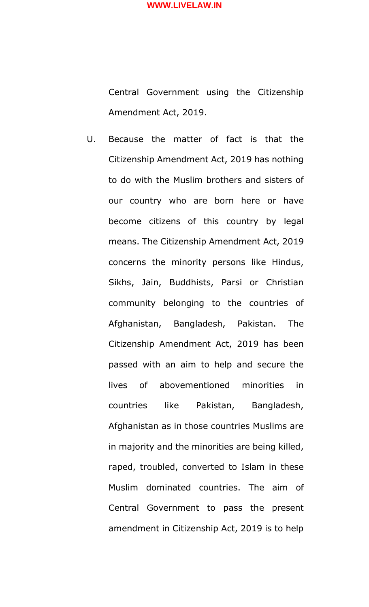Central Government using the Citizenship Amendment Act, 2019.

U. Because the matter of fact is that the Citizenship Amendment Act, 2019 has nothing to do with the Muslim brothers and sisters of our country who are born here or have become citizens of this country by legal means. The Citizenship Amendment Act, 2019 concerns the minority persons like Hindus, Sikhs, Jain, Buddhists, Parsi or Christian community belonging to the countries of Afghanistan, Bangladesh, Pakistan. The Citizenship Amendment Act, 2019 has been passed with an aim to help and secure the lives of abovementioned minorities in countries like Pakistan, Bangladesh, Afghanistan as in those countries Muslims are in majority and the minorities are being killed, raped, troubled, converted to Islam in these Muslim dominated countries. The aim of Central Government to pass the present amendment in Citizenship Act, 2019 is to help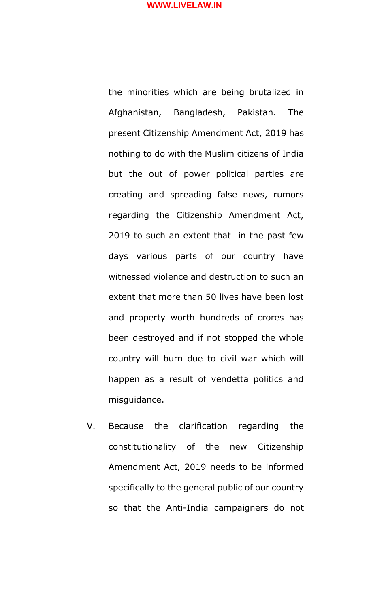the minorities which are being brutalized in Afghanistan, Bangladesh, Pakistan. The present Citizenship Amendment Act, 2019 has nothing to do with the Muslim citizens of India but the out of power political parties are creating and spreading false news, rumors regarding the Citizenship Amendment Act, 2019 to such an extent that in the past few days various parts of our country have witnessed violence and destruction to such an extent that more than 50 lives have been lost and property worth hundreds of crores has been destroyed and if not stopped the whole country will burn due to civil war which will happen as a result of vendetta politics and misguidance.

V. Because the clarification regarding the constitutionality of the new Citizenship Amendment Act, 2019 needs to be informed specifically to the general public of our country so that the Anti-India campaigners do not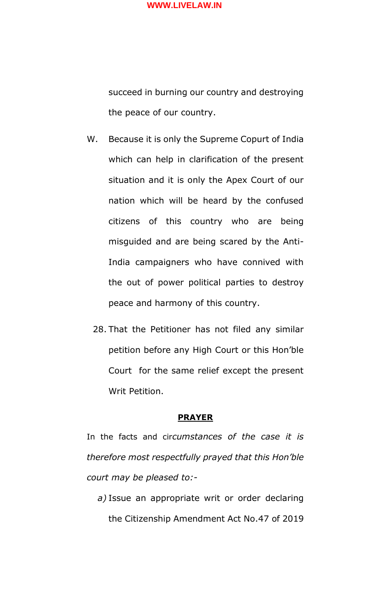succeed in burning our country and destroying the peace of our country.

- W. Because it is only the Supreme Copurt of India which can help in clarification of the present situation and it is only the Apex Court of our nation which will be heard by the confused citizens of this country who are being misguided and are being scared by the Anti-India campaigners who have connived with the out of power political parties to destroy peace and harmony of this country.
	- 28. That the Petitioner has not filed any similar petition before any High Court or this Hon'ble Court for the same relief except the present Writ Petition.

#### **PRAYER**

In the facts and cir*cumstances of the case it is therefore most respectfully prayed that this Hon'ble court may be pleased to:-*

*a)* Issue an appropriate writ or order declaring the Citizenship Amendment Act No.47 of 2019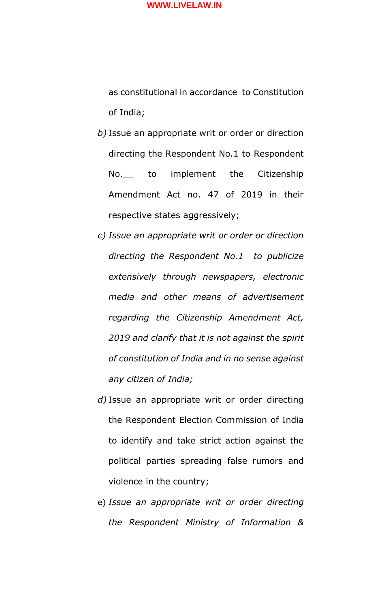as constitutional in accordance to Constitution of India;

- *b)* Issue an appropriate writ or order or direction directing the Respondent No.1 to Respondent No.\_\_ to implement the Citizenship Amendment Act no. 47 of 2019 in their respective states aggressively;
- *c) Issue an appropriate writ or order or direction directing the Respondent No.1 to publicize extensively through newspapers, electronic media and other means of advertisement regarding the Citizenship Amendment Act, 2019 and clarify that it is not against the spirit of constitution of India and in no sense against any citizen of India;*
- *d)* Issue an appropriate writ or order directing the Respondent Election Commission of India to identify and take strict action against the political parties spreading false rumors and violence in the country;
- e) *Issue an appropriate writ or order directing the Respondent Ministry of Information &*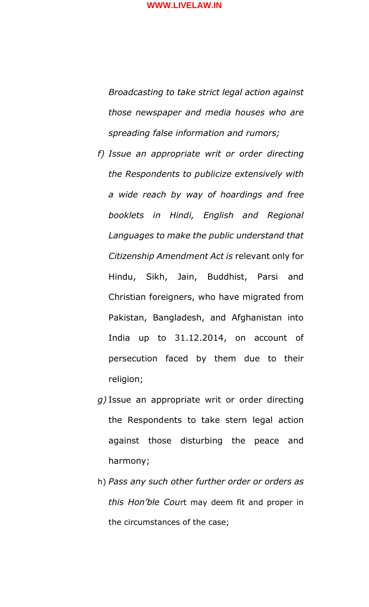*Broadcasting to take strict legal action against those newspaper and media houses who are spreading false information and rumors;*

- *f) Issue an appropriate writ or order directing the Respondents to publicize extensively with a wide reach by way of hoardings and free booklets in Hindi, English and Regional Languages to make the public understand that Citizenship Amendment Act is* relevant only for Hindu, Sikh, Jain, Buddhist, Parsi and Christian foreigners, who have migrated from Pakistan, Bangladesh, and Afghanistan into India up to 31.12.2014, on account of persecution faced by them due to their religion;
- *g)* Issue an appropriate writ or order directing the Respondents to take stern legal action against those disturbing the peace and harmony;
- h) *Pass any such other further order or orders as this Hon'ble Cou*rt may deem fit and proper in the circumstances of the case;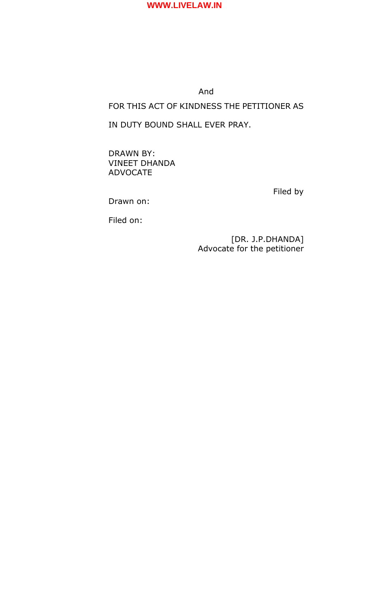

## And

# FOR THIS ACT OF KINDNESS THE PETITIONER AS

## IN DUTY BOUND SHALL EVER PRAY.

DRAWN BY: VINEET DHANDA ADVOCATE

Filed by

Drawn on:

Filed on:

[DR. J.P.DHANDA] Advocate for the petitioner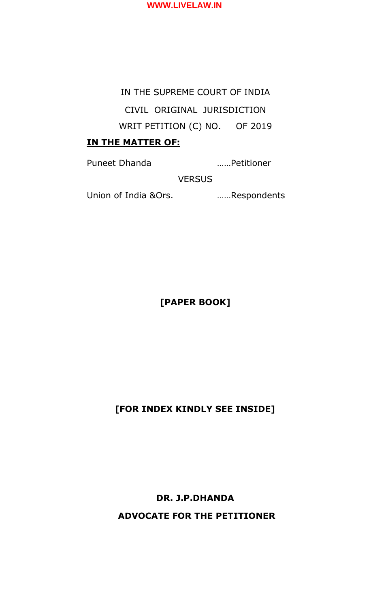

# IN THE SUPREME COURT OF INDIA CIVIL ORIGINAL JURISDICTION WRIT PETITION (C) NO. OF 2019

# **IN THE MATTER OF:**

Puneet Dhanda ……Petitioner

VERSUS

Union of India &Ors. ……Respondents

**[PAPER BOOK]**

**[FOR INDEX KINDLY SEE INSIDE]**

**DR. J.P.DHANDA ADVOCATE FOR THE PETITIONER**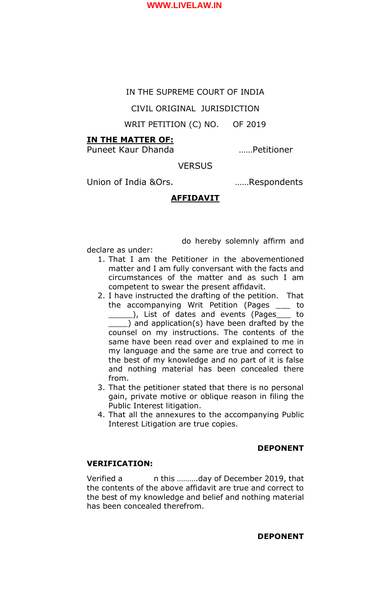#### IN THE SUPREME COURT OF INDIA

CIVIL ORIGINAL JURISDICTION

## WRIT PETITION (C) NO. OF 2019

#### **IN THE MATTER OF:**

Puneet Kaur Dhanda ……Petitioner

## **VERSUS**

Union of India &Ors. ……Respondents

do hereby solemnly affirm and

#### **AFFIDAVIT**

declare as under:

- 1. That I am the Petitioner in the abovementioned matter and I am fully conversant with the facts and circumstances of the matter and as such I am competent to swear the present affidavit.
- 2. I have instructed the drafting of the petition. That the accompanying Writ Petition (Pages \_\_\_ to ), List of dates and events (Pages \_\_ to ) and application(s) have been drafted by the counsel on my instructions. The contents of the same have been read over and explained to me in my language and the same are true and correct to the best of my knowledge and no part of it is false and nothing material has been concealed there from.
- 3. That the petitioner stated that there is no personal gain, private motive or oblique reason in filing the Public Interest litigation.
- 4. That all the annexures to the accompanying Public Interest Litigation are true copies.

#### **DEPONENT**

#### **VERIFICATION:**

Verified a n this ……….day of December 2019, that the contents of the above affidavit are true and correct to the best of my knowledge and belief and nothing material has been concealed therefrom.

#### **DEPONENT**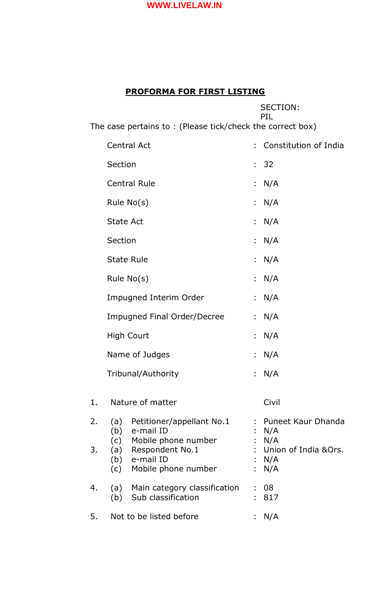# **PROFORMA FOR FIRST LISTING**

|          |                                    |                                                                                                                   |    | <b>SECTION:</b><br><b>PIL</b>                                             |
|----------|------------------------------------|-------------------------------------------------------------------------------------------------------------------|----|---------------------------------------------------------------------------|
|          |                                    | The case pertains to: (Please tick/check the correct box)                                                         |    |                                                                           |
|          | <b>Central Act</b>                 |                                                                                                                   |    | : Constitution of India                                                   |
|          | Section                            |                                                                                                                   |    | : 32                                                                      |
|          |                                    | <b>Central Rule</b>                                                                                               |    | : $N/A$                                                                   |
|          | Rule $No(s)$                       |                                                                                                                   |    | N/A                                                                       |
|          | <b>State Act</b>                   |                                                                                                                   |    | : N/A                                                                     |
|          | Section                            |                                                                                                                   |    | : $N/A$                                                                   |
|          | <b>State Rule</b>                  |                                                                                                                   |    | : $N/A$                                                                   |
|          | Rule $No(s)$                       |                                                                                                                   |    | : $N/A$                                                                   |
|          | <b>Impugned Interim Order</b>      |                                                                                                                   | t. | N/A                                                                       |
|          | <b>Impugned Final Order/Decree</b> |                                                                                                                   |    | : $N/A$                                                                   |
|          | <b>High Court</b>                  |                                                                                                                   |    | N/A                                                                       |
|          | Name of Judges                     |                                                                                                                   | t. | N/A                                                                       |
|          | Tribunal/Authority                 |                                                                                                                   |    | : $N/A$                                                                   |
| 1.       |                                    | Nature of matter                                                                                                  |    | Civil                                                                     |
| 2.<br>3. |                                    | (a) Petitioner/appellant No.1<br>(b) e-mail ID<br>(c) Mobile phone number<br>(a) Respondent No.1<br>(b) e-mail ID |    | : Puneet Kaur Dhanda<br>N/A<br>: N/A<br>: Union of India &Ors.<br>: $N/A$ |
| 4.       | (c)                                | Mobile phone number<br>(a) Main category classification<br>(b) Sub classification                                 |    | : $N/A$<br>-08<br>: 817                                                   |
| 5.       |                                    | Not to be listed before                                                                                           |    | : $N/A$                                                                   |